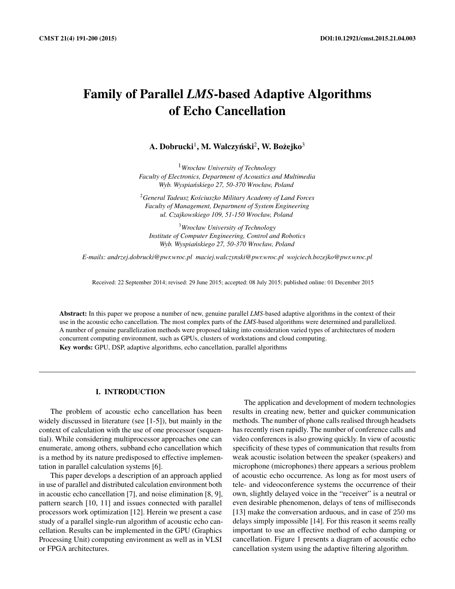# Family of Parallel *LMS*-based Adaptive Algorithms of Echo Cancellation

A. Dobrucki $^1$ , M. Walczyński $^2$ , W. Bożejko $^3$ 

<sup>1</sup>*Wrocław University of Technology Faculty of Electronics, Department of Acoustics and Multimedia Wyb. Wyspia ´nskiego 27, 50-370 Wrocław, Poland*

<sup>2</sup>*General Tadeusz Kosciuszko Military Academy of Land Forces ´ Faculty of Management, Department of System Engineering ul. Czajkowskiego 109, 51-150 Wrocław, Poland*

<sup>3</sup>*Wrocław University of Technology Institute of Computer Engineering, Control and Robotics Wyb. Wyspia ´nskiego 27, 50-370 Wrocław, Poland*

*E-mails: andrzej.dobrucki@pwr.wroc.pl maciej.walczynski@pwr.wroc.pl wojciech.bozejko@pwr.wroc.pl*

Received: 22 September 2014; revised: 29 June 2015; accepted: 08 July 2015; published online: 01 December 2015

Abstract: In this paper we propose a number of new, genuine parallel *LMS-*based adaptive algorithms in the context of their use in the acoustic echo cancellation. The most complex parts of the *LMS*-based algorithms were determined and parallelized. A number of genuine parallelization methods were proposed taking into consideration varied types of architectures of modern concurrent computing environment, such as GPUs, clusters of workstations and cloud computing. Key words: GPU, DSP, adaptive algorithms, echo cancellation, parallel algorithms

#### I. INTRODUCTION

The problem of acoustic echo cancellation has been widely discussed in literature (see [1-5]), but mainly in the context of calculation with the use of one processor (sequential). While considering multiprocessor approaches one can enumerate, among others, subband echo cancellation which is a method by its nature predisposed to effective implementation in parallel calculation systems [6].

This paper develops a description of an approach applied in use of parallel and distributed calculation environment both in acoustic echo cancellation [7], and noise elimination [8, 9], pattern search [10, 11] and issues connected with parallel processors work optimization [12]. Herein we present a case study of a parallel single-run algorithm of acoustic echo cancellation. Results can be implemented in the GPU (Graphics Processing Unit) computing environment as well as in VLSI or FPGA architectures.

The application and development of modern technologies results in creating new, better and quicker communication methods. The number of phone calls realised through headsets has recently risen rapidly. The number of conference calls and video conferences is also growing quickly. In view of acoustic specificity of these types of communication that results from weak acoustic isolation between the speaker (speakers) and microphone (microphones) there appears a serious problem of acoustic echo occurrence. As long as for most users of tele- and videoconference systems the occurrence of their own, slightly delayed voice in the "receiver" is a neutral or even desirable phenomenon, delays of tens of milliseconds [13] make the conversation arduous, and in case of 250 ms delays simply impossible [14]. For this reason it seems really important to use an effective method of echo damping or cancellation. Figure 1 presents a diagram of acoustic echo cancellation system using the adaptive filtering algorithm.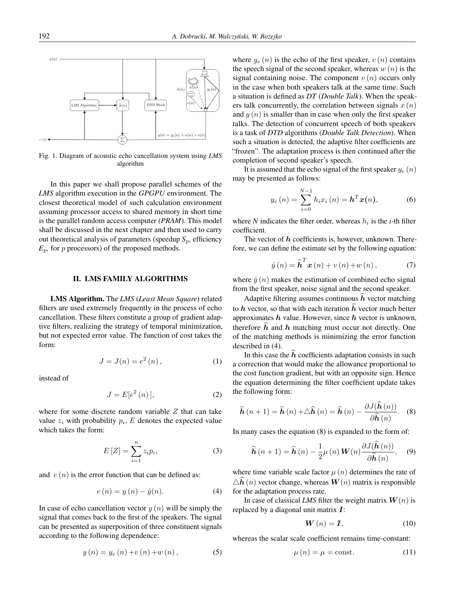

Fig. 1. Diagram of acoustic echo cancellation system using *LMS* algorithm

In this paper we shall propose parallel schemes of the *LMS* algorithm execution in the *GPGPU* environment. The closest theoretical model of such calculation environment assuming processor access to shared memory in short time is the parallel random access computer (*PRAM*). This model shall be discussed in the next chapter and then used to carry out theoretical analysis of parameters (speedup  $S_p$ , efficiency  $E_p$ , for p processors) of the proposed methods.

#### II. LMS FAMILY ALGORITHMS

LMS Algorithm. The *LMS* (*Least Mean Square*) related filters are used extremely frequently in the process of echo cancellation. These filters constitute a group of gradient adaptive filters, realizing the strategy of temporal minimization, but not expected error value. The function of cost takes the form:

$$
J = J(n) = e^2(n),
$$
 (1)

instead of

$$
J = E[e2(n)], \t\t(2)
$$

where for some discrete random variable  $Z$  that can take value  $z_i$  with probability  $p_i$ , E denotes the expected value which takes the form:

$$
E[Z] = \sum_{i=1}^{n} z_i p_i,
$$
\n(3)

and  $e(n)$  is the error function that can be defined as:

$$
e(n) = y(n) - \hat{y}(n). \tag{4}
$$

In case of echo cancellation vector  $y(n)$  will be simply the signal that comes back to the first of the speakers. The signal can be presented as superposition of three constituent signals according to the following dependence:

$$
y(n) = y_e(n) + v(n) + w(n),
$$
 (5)

where  $y_e(n)$  is the echo of the first speaker,  $v(n)$  contains the speech signal of the second speaker, whereas  $w(n)$  is the signal containing noise. The component  $v(n)$  occurs only in the case when both speakers talk at the same time. Such a situation is defined as *DT* (*Double Talk*). When the speakers talk concurrently, the correlation between signals  $x(n)$ and  $y(n)$  is smaller than in case when only the first speaker talks. The detection of concurrent speech of both speakers is a task of *DTD* algorithms (*Double Talk Detection*). When such a situation is detected, the adaptive filter coefficients are "frozen". The adaptation process is then continued after the completion of second speaker's speech.

It is assumed that the echo signal of the first speaker  $y_e(n)$ may be presented as follows:

$$
y_e(n) = \sum_{i=0}^{N-1} h_i x_i(n) = \mathbf{h}^T \mathbf{x}(n),
$$
 (6)

where *N* indicates the filter order, whereas  $h_i$  is the *i*-th filter coefficient.

The vector of  $h$  coefficients is, however, unknown. Therefore, we can define the estimate set by the following equation:

$$
\hat{y}(n) = \widehat{\boldsymbol{h}}^T \boldsymbol{x}(n) + v(n) + w(n), \qquad (7)
$$

where  $\hat{y}(n)$  makes the estimation of combined echo signal from the first speaker, noise signal and the second speaker.

Adaptive filtering assumes continuous  $\vec{h}$  vector matching to h vector, so that with each iteration  $\hat{h}$  vector much better approximates  $h$  value. However, since  $h$  vector is unknown, therefore  $\hat{h}$  and  $h$  matching must occur not directly. One of the matching methods is minimizing the error function described in (4).

In this case the  $h$  coefficients adaptation consists in such a correction that would make the allowance proportional to the cost function gradient, but with an opposite sign. Hence the equation determining the filter coefficient update takes the following form:

$$
\widehat{\boldsymbol{h}}(n+1) = \widehat{\boldsymbol{h}}(n) + \Delta \widehat{\boldsymbol{h}}(n) = \widehat{\boldsymbol{h}}(n) - \frac{\partial J(\widehat{\boldsymbol{h}}(n))}{\partial \widehat{\boldsymbol{h}}(n)}.
$$
 (8)

In many cases the equation (8) is expanded to the form of:

$$
\widehat{\boldsymbol{h}}\left(n+1\right) = \widehat{\boldsymbol{h}}\left(n\right) - \frac{1}{2}\mu\left(n\right)\boldsymbol{W}(n)\frac{\partial J(\boldsymbol{h}\left(n\right))}{\partial\widehat{\boldsymbol{h}}\left(n\right)},\quad(9)
$$

where time variable scale factor  $\mu(n)$  determines the rate of  $\Delta \hat{\mathbf{h}}(n)$  vector change, whereas  $\mathbf{W}(n)$  matrix is responsible for the adaptation process rate.

In case of classical *LMS* filter the weight matrix  $W(n)$  is replaced by a diagonal unit matrix  $I$ :

$$
\mathbf{W}\left(n\right) = \mathbf{I},\tag{10}
$$

whereas the scalar scale coefficient remains time-constant:

$$
\mu(n) = \mu = \text{const.} \tag{11}
$$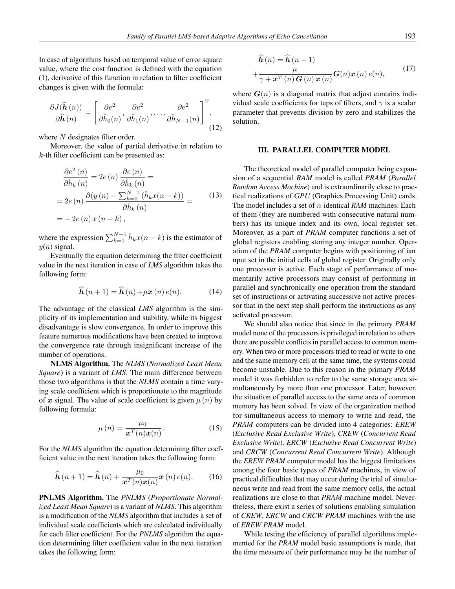In case of algorithms based on temporal value of error square value, where the cost function is defined with the equation (1), derivative of this function in relation to filter coefficient changes is given with the formula:

$$
\frac{\partial J(\hat{\boldsymbol{h}}(n))}{\partial \hat{\boldsymbol{h}}(n)} = \left[\frac{\partial e^2}{\partial \hat{h}_0(n)}, \frac{\partial e^2}{\partial \hat{h}_1(n)}, \dots, \frac{\partial e^2}{\partial \hat{h}_{N-1}(n)}\right]^\mathrm{T},\tag{12}
$$

where N designates filter order.

Moreover, the value of partial derivative in relation to k-th filter coefficient can be presented as:

$$
\frac{\partial e^2(n)}{\partial \hat{h}_k(n)} = 2e(n) \frac{\partial e(n)}{\partial \hat{h}_k(n)} =
$$
\n
$$
= 2e(n) \frac{\partial (y(n) - \sum_{k=0}^{N-1} (\hat{h}_k x(n-k))}{\partial \hat{h}_k(n)} =
$$
\n
$$
= -2e(n) x(n-k),
$$
\n(13)

where the expression  $\sum_{k=0}^{N-1} \hat{h}_k x(n-k)$  is the estimator of  $y(n)$  signal.

Eventually the equation determining the filter coefficient value in the next iteration in case of *LMS* algorithm takes the following form:

$$
\widehat{\boldsymbol{h}}\left(n+1\right) = \widehat{\boldsymbol{h}}\left(n\right) + \mu \boldsymbol{x}\left(n\right)e(n). \tag{14}
$$

The advantage of the classical *LMS* algorithm is the simplicity of its implementation and stability, while its biggest disadvantage is slow convergence. In order to improve this feature numerous modifications have been created to improve the convergence rate through insignificant increase of the number of operations.

NLMS Algorithm. The *NLMS* (*Normalized Least Mean Square*) is a variant of *LMS*. The main difference between those two algorithms is that the *NLMS* contain a time varying scale coefficient which is proportionate to the magnitude of x signal. The value of scale coefficient is given  $\mu(n)$  by following formula:

$$
\mu(n) = \frac{\mu_0}{\mathbf{x}^T(n)\mathbf{x}(n)}.
$$
\n(15)

For the *NLMS* algorithm the equation determining filter coefficient value in the next iteration takes the following form:

$$
\widehat{\boldsymbol{h}}(n+1) = \widehat{\boldsymbol{h}}(n) + \frac{\mu_0}{\boldsymbol{x}^T(n)\boldsymbol{x}(n)}\boldsymbol{x}(n) e(n). \qquad (16)
$$

PNLMS Algorithm. The *PNLMS* (*Proportionate Normalized Least Mean Square*) is a variant of *NLMS*. This algorithm is a modification of the *NLMS* algorithm that includes a set of individual scale coefficients which are calculated individually for each filter coefficient. For the *PNLMS* algorithm the equation determining filter coefficient value in the next iteration takes the following form:

$$
\hat{h}(n) = \hat{h}(n-1)
$$
  
+ 
$$
\frac{\mu}{\gamma + \boldsymbol{x}^{T}(n) \boldsymbol{G}(n) \boldsymbol{x}(n)} \boldsymbol{G}(n) \boldsymbol{x}(n) e(n),
$$
 (17)

where  $G(n)$  is a diagonal matrix that adjust contains individual scale coefficients for taps of filters, and  $\gamma$  is a scalar parameter that prevents division by zero and stabilizes the solution.

# III. PARALLEL COMPUTER MODEL

The theoretical model of parallel computer being expansion of a sequential *RAM* model is called *PRAM* (*Parallel Random Access Machine*) and is extraordinarily close to practical realizations of *GPU* (Graphics Processing Unit) cards. The model includes a set of n-identical *RAM* machines. Each of them (they are numbered with consecutive natural numbers) has its unique index and its own, local register set. Moreover, as a part of *PRAM* computer functions a set of global registers enabling storing any integer number. Operation of the *PRAM* computer begins with positioning of ian nput set in the initial cells of global register. Originally only one processor is active. Each stage of performance of momentarily active processors may consist of performing in parallel and synchronically one operation from the standard set of instructions or activating successive not active processor that in the next step shall perform the instructions as any activated processor.

We should also notice that since in the primary *PRAM* model none of the processors is privileged in relation to others there are possible conflicts in parallel access to common memory. When two or more processors tried to read or write to one and the same memory cell at the same time, the systems could become unstable. Due to this reason in the primary *PRAM* model it was forbidden to refer to the same storage area simultaneously by more than one processor. Later, however, the situation of parallel access to the same area of common memory has been solved. In view of the organization method for simultaneous access to memory to write and read, the *PRAM* computers can be divided into 4 categories: *EREW* (*Exclusive Read Exclusive Write*)*, CREW* (*Concurrent Read Exclusive Write*)*, ERCW* (*Exclusive Read Concurrent Write*) and *CRCW* (*Concurrent Read Concurrent Write*). Although the *EREW PRAM* computer model has the biggest limitations among the four basic types of *PRAM* machines, in view of practical difficulties that may occur during the trial of simultaneous write and read from the same memory cells, the actual realizations are close to that *PRAM* machine model. Nevertheless, there exist a series of solutions enabling simulation of *CREW*, *ERCW* and *CRCW PRAM* machines with the use of *EREW PRAM* model.

While testing the efficiency of parallel algorithms implemented for the *PRAM* model basic assumptions is made, that the time measure of their performance may be the number of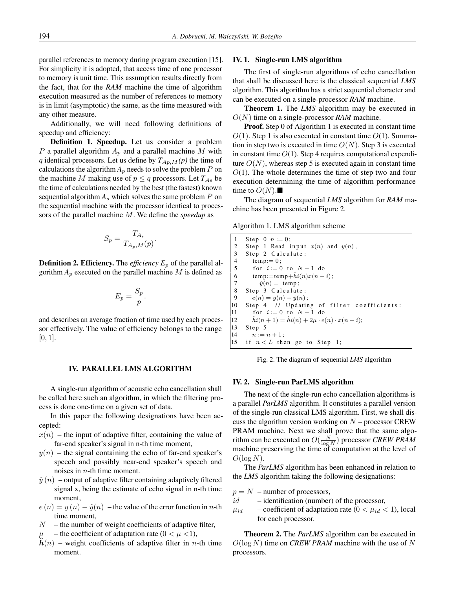parallel references to memory during program execution [15]. For simplicity it is adopted, that access time of one processor to memory is unit time. This assumption results directly from the fact, that for the *RAM* machine the time of algorithm execution measured as the number of references to memory is in limit (asymptotic) the same, as the time measured with any other measure.

Additionally, we will need following definitions of speedup and efficiency:

Definition 1. Speedup. Let us consider a problem P a parallel algorithm  $A_p$  and a parallel machine M with q identical processors. Let us define by  $T_{Ap,M}(p)$  the time of calculations the algorithm  $A_p$  needs to solve the problem  $P$  on the machine M making use of  $p \leq q$  processors. Let  $T_{As}$  be the time of calculations needed by the best (the fastest) known sequential algorithm  $A_s$  which solves the same problem  $P$  on the sequential machine with the processor identical to processors of the parallel machine M. We define the *speedup* as

$$
S_p = \frac{T_{A_s}}{T_{A_p,M}(p)}.
$$

**Definition 2. Efficiency.** The *efficiency*  $E_p$  of the parallel algorithm  $A_p$  executed on the parallel machine M is defined as

$$
E_p = \frac{S_p}{p}.
$$

and describes an average fraction of time used by each processor effectively. The value of efficiency belongs to the range  $[0, 1]$ .

### IV. PARALLEL LMS ALGORITHM

A single-run algorithm of acoustic echo cancellation shall be called here such an algorithm, in which the filtering process is done one-time on a given set of data.

In this paper the following designations have been accepted:

- $x(n)$  the input of adaptive filter, containing the value of far-end speaker's signal in n-th time moment,
- $y(n)$  the signal containing the echo of far-end speaker's speech and possibly near-end speaker's speech and noises in  $n$ -th time moment.
- $\hat{y}(n)$  output of adaptive filter containing adaptively filtered signal x, being the estimate of echo signal in n-th time moment,
- $e(n) = y(n) \hat{y}(n)$  the value of the error function in *n*-th time moment,
- $N$  the number of weight coefficients of adaptive filter,
- the coefficient of adaptation rate ( $0 < \mu < 1$ ),
- $\hat{h}(n)$  weight coefficients of adaptive filter in n-th time moment.

#### IV. 1. Single-run LMS algorithm

The first of single-run algorithms of echo cancellation that shall be discussed here is the classical sequential *LMS* algorithm. This algorithm has a strict sequential character and can be executed on a single-processor *RAM* machine.

Theorem 1. The *LMS* algorithm may be executed in O(N) time on a single-processor *RAM* machine.

Proof. Step 0 of Algorithm 1 is executed in constant time  $O(1)$ . Step 1 is also executed in constant time  $O(1)$ . Summation in step two is executed in time  $O(N)$ . Step 3 is executed in constant time  $O(1)$ . Step 4 requires computational expenditure  $O(N)$ , whereas step 5 is executed again in constant time  $O(1)$ . The whole determines the time of step two and four execution determining the time of algorithm performance time to  $O(N)$ .

The diagram of sequential *LMS* algorithm for *RAM* machine has been presented in Figure 2.

Algorithm 1. LMS algorithm scheme

Step 0  $n := 0$ : 2 Step 1 Read input  $x(n)$  and  $y(n)$ ,<br>3 Step 2 Calculate: 3 Step 2 Calculate:<br>4 temp:= 0. 4 temp:= 0;<br>5 for  $i := 0$ for  $i := 0$  to  $N - 1$  do 6 temp:=temp+ $\hat{h}i(n)x(n-i)$ ;<br>7  $\hat{u}(n)$  = temp: 7  $\hat{y}(n) = \text{temp}$ ;<br>8 Step 3 Calculate 8 Step 3 Calculate:<br>9  $e(n) = y(n) - \hat{y}(n)$ 9  $e(n) = y(n) - \hat{y}(n)$ ;<br>10 Step 4 // Updatin Step 4 // Updating of filter coefficients: 11 for  $i := 0$  to  $N - 1$  do  $\hat{h} i(n+1) = \hat{h} i(n) + 2\mu \cdot e(n) \cdot x(n-i);$  $13$  Step 5  $\begin{cases} 14 & n := n + 1; \\ 15 & \text{if } n < L \text{ the} \end{cases}$ if  $n < L$  then go to Step 1;

Fig. 2. The diagram of sequential *LMS* algorithm

#### IV. 2. Single-run ParLMS algorithm

The next of the single-run echo cancellation algorithms is a parallel *ParLMS* algorithm. It constitutes a parallel version of the single-run classical LMS algorithm. First, we shall discuss the algorithm version working on  $N$  – processor CREW PRAM machine. Next we shall prove that the same algorithm can be executed on  $O(\frac{N}{\log N})$  processor *CREW PRAM* machine preserving the time of computation at the level of  $O(\log N)$ .

The *ParLMS* algorithm has been enhanced in relation to the *LMS* algorithm taking the following designations:

- $p = N$  number of processors,
- $id$  identification (number) of the processor,
- $\mu_{id}$  coefficient of adaptation rate ( $0 < \mu_{id} < 1$ ), local for each processor.

Theorem 2. The *ParLMS* algorithm can be executed in  $O(\log N)$  time on *CREW PRAM* machine with the use of N processors.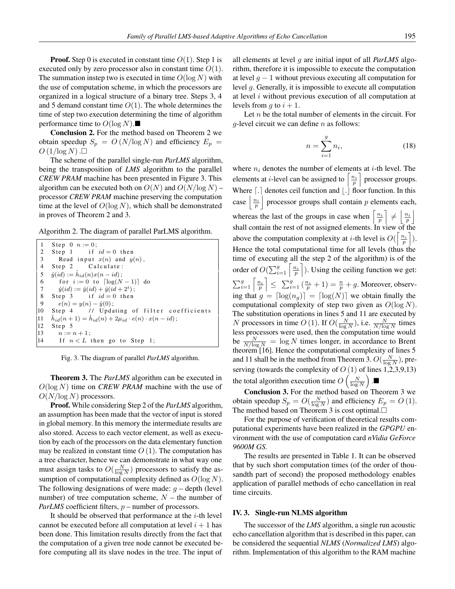**Proof.** Step 0 is executed in constant time  $O(1)$ . Step 1 is executed only by zero processor also in constant time  $O(1)$ . The summation instep two is executed in time  $O(\log N)$  with the use of computation scheme, in which the processors are organized in a logical structure of a binary tree. Steps 3, 4 and 5 demand constant time  $O(1)$ . The whole determines the time of step two execution determining the time of algorithm performance time to  $O(\log N)$ .

Conclusion 2. For the method based on Theorem 2 we obtain speedup  $S_p = O(N/\log N)$  and efficiency  $E_p =$  $O(1/\log N)$ .

The scheme of the parallel single-run *ParLMS* algorithm, being the transposition of *LMS* algorithm to the parallel *CREW PRAM* machine has been presented in Figure 3. This algorithm can be executed both on  $O(N)$  and  $O(N/\log N)$  – processor *CREW PRAM* machine preserving the computation time at the level of  $O(\log N)$ , which shall be demonstrated in proves of Theorem 2 and 3.

Algorithm 2. The diagram of parallel ParLMS algorithm.

| 1               | Step 0 $n := 0$ ;                                                             |
|-----------------|-------------------------------------------------------------------------------|
| $\overline{2}$  | Step 1 if $id = 0$ then                                                       |
| 3               | Read input $x(n)$ and $y(n)$ ,                                                |
| $\overline{4}$  | Step 2 Calculate:                                                             |
|                 | 5 $\hat{y}(id) := \hat{h}_{id}(n)x(n - id);$                                  |
| 6               | for $i := 0$ to $\lceil \log(N-1) \rceil$ do                                  |
| $7\phantom{.0}$ | $\hat{y}(id) := \hat{y}(id) + \hat{y}(id + 2^{i});$                           |
| 8               | Step 3 if $id = 0$ then                                                       |
| 9               | $e(n) = y(n) - \hat{y}(0);$                                                   |
| 10              | Step 4 // Updating of filter coefficients                                     |
| 11              | $\hat{h}_{id}(n+1) = \hat{h}_{id}(n) + 2\mu_{id} \cdot e(n) \cdot x(n - id);$ |
| 12              | Step 5                                                                        |
| 13              | $n := n + 1$ ;                                                                |
| 14              | If $n < L$ then go to Step 1;                                                 |

Fig. 3. The diagram of parallel *ParLMS* algorithm.

Theorem 3. The *ParLMS* algorithm can be executed in  $O(\log N)$  time on *CREW PRAM* machine with the use of  $O(N/\log N)$  processors.

Proof. While considering Step 2 of the *ParLMS* algorithm, an assumption has been made that the vector of input is stored in global memory. In this memory the intermediate results are also stored. Access to each vector element, as well as execution by each of the processors on the data elementary function may be realized in constant time  $O(1)$ . The computation has a tree character, hence we can demonstrate in what way one must assign tasks to  $O(\frac{N}{\log N})$  processors to satisfy the assumption of computational complexity defined as  $O(\log N)$ . The following designations of were made:  $g$  – depth (level number) of tree computation scheme,  $N$  – the number of *ParLMS* coefficient filters, *p* – number of processors.

It should be observed that performance at the  $i$ -th level cannot be executed before all computation at level  $i + 1$  has been done. This limitation results directly from the fact that the computation of a given tree node cannot be executed before computing all its slave nodes in the tree. The input of

all elements at level g are initial input of all *ParLMS* algorithm, therefore it is impossible to execute the computation at level  $q - 1$  without previous executing all computation for level g. Generally, it is impossible to execute all computation at level i without previous execution of all computation at levels from q to  $i + 1$ .

Let  $n$  be the total number of elements in the circuit. For  $q$ -level circuit we can define  $n$  as follows:

$$
n = \sum_{i=1}^{g} n_i,\tag{18}
$$

where  $n_i$  denotes the number of elements at *i*-th level. The elements at *i*-level can be assigned to  $\left\lceil \frac{n_i}{p} \right\rceil$  processor groups. Where  $\lceil . \rceil$  denotes ceil function and  $\lceil . \rceil$  floor function. In this case  $\left| \frac{n_i}{p} \right|$  processor groups shall contain p elements each, whereas the last of the groups in case when  $\left\lceil \frac{n_i}{p} \right\rceil \neq \left\lceil \frac{n_i}{p} \right\rceil$ shall contain the rest of not assigned elements. In view of the above the computation complexity at *i*-th level is  $O(\left\lceil \frac{n_i}{p} \right\rceil)$ . Hence the total computational time for all levels (thus the time of executing all the step 2 of the algorithm) is of the order of  $O(\sum_{i=1}^g \left\lceil \frac{n_i}{p} \right\rceil)$ . Using the ceiling function we get:  $\sum_{i=1}^{g} \left\lceil \frac{n_i}{p} \right\rceil \leq \sum_{i=1}^{g} \left( \frac{n_i}{p} + 1 \right) = \frac{n}{p} + g$ . Moreover, observing that  $g = \lfloor \log(n_q) \rfloor = \lfloor \log(N) \rfloor$  we obtain finally the computational complexity of step two given as  $O(\log N)$ . The substitution operations in lines 5 and 11 are executed by N processors in time O (1). If  $O(\frac{N}{\log N})$ , i.e.  $\frac{N}{N/\log N}$  times less processors were used, then the computation time would be  $\frac{N}{N/\log N} = \log N$  times longer, in accordance to Brent theorem [16]. Hence the computational complexity of lines 5 and 11 shall be in the method from Theorem 3.  $O(\frac{N}{\log N})$ , preserving (towards the complexity of  $O(1)$  of lines 1,2,3,9,13) the total algorithm execution time  $O\left(\frac{N}{\log N}\right)$ .

Conclusion 3. For the method based on Theorem 3 we obtain speedup  $S_p = O(\frac{N}{\log N})$  and efficiency  $E_p = O(1)$ . The method based on Theorem 3 is cost optimal. $\square$ 

For the purpose of verification of theoretical results computational experiments have been realized in the *GPGPU* environment with the use of computation card *nVidia GeForce 9600M GS.*

The results are presented in Table 1. It can be observed that by such short computation times (of the order of thousandth part of second) the proposed methodology enables application of parallel methods of echo cancellation in real time circuits.

# IV. 3. Single-run NLMS algorithm

The successor of the *LMS* algorithm, a single run acoustic echo cancellation algorithm that is described in this paper, can be considered the sequential *NLMS* (*Normalized LMS*) algorithm. Implementation of this algorithm to the RAM machine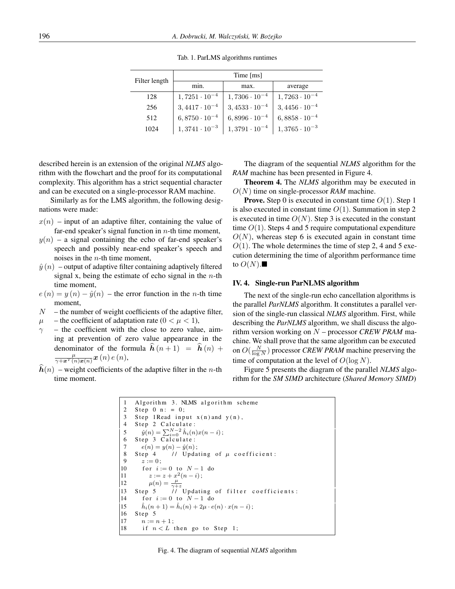| Filter length | Time [ms]              |                        |                        |  |  |  |
|---------------|------------------------|------------------------|------------------------|--|--|--|
|               | min.                   | max.                   | average                |  |  |  |
| 128           | $1,7251 \cdot 10^{-4}$ | $1,7306 \cdot 10^{-4}$ | $1,7263 \cdot 10^{-4}$ |  |  |  |
| 256           | $3,4417 \cdot 10^{-4}$ | $3,4533 \cdot 10^{-4}$ | $3,4456 \cdot 10^{-4}$ |  |  |  |
| 512           | $6,8750 \cdot 10^{-4}$ | $6,8996 \cdot 10^{-4}$ | $6,8858 \cdot 10^{-4}$ |  |  |  |
| 1024          | $1,3741 \cdot 10^{-3}$ | $1,3791 \cdot 10^{-4}$ | $1,3765\cdot 10^{-3}$  |  |  |  |

Tab. 1. ParLMS algorithms runtimes

described herein is an extension of the original *NLMS* algorithm with the flowchart and the proof for its computational complexity. This algorithm has a strict sequential character and can be executed on a single-processor RAM machine.

Similarly as for the LMS algorithm, the following designations were made:

- $x(n)$  input of an adaptive filter, containing the value of far-end speaker's signal function in  $n$ -th time moment,
- $y(n)$  a signal containing the echo of far-end speaker's speech and possibly near-end speaker's speech and noises in the n-th time moment,
- $\hat{y}(n)$  output of adaptive filter containing adaptively filtered signal x, being the estimate of echo signal in the  $n$ -th time moment,
- $e(n) = y(n) \hat{y}(n)$  the error function in the *n*-th time moment,
- $N$  the number of weight coefficients of the adaptive filter,
- $\mu$  the coefficient of adaptation rate ( $0 < \mu < 1$ ),
- $\gamma$  the coefficient with the close to zero value, aiming at prevention of zero value appearance in the denominator of the formula  $\hat{h}(n + 1) = \hat{h}(n) +$  $\frac{\mu}{\gamma+\boldsymbol{x}^{T}(n)\boldsymbol{x}(n)}\boldsymbol{x}\left(n\right)e\left(n\right),$
- $\hat{h}(n)$  weight coefficients of the adaptive filter in the n-th time moment.

The diagram of the sequential *NLMS* algorithm for the *RAM* machine has been presented in Figure 4.

Theorem 4. The *NLMS* algorithm may be executed in O(N) time on single-processor *RAM* machine.

**Prove.** Step 0 is executed in constant time  $O(1)$ . Step 1 is also executed in constant time  $O(1)$ . Summation in step 2 is executed in time  $O(N)$ . Step 3 is executed in the constant time  $O(1)$ . Steps 4 and 5 require computational expenditure  $O(N)$ , whereas step 6 is executed again in constant time  $O(1)$ . The whole determines the time of step 2, 4 and 5 execution determining the time of algorithm performance time to  $O(N)$ .

# IV. 4. Single-run ParNLMS algorithm

The next of the single-run echo cancellation algorithms is the parallel *ParNLMS* algorithm. It constitutes a parallel version of the single-run classical *NLMS* algorithm. First, while describing the *ParNLMS* algorithm, we shall discuss the algorithm version working on N – processor *CREW PRAM* machine. We shall prove that the same algorithm can be executed on  $O(\frac{N}{\log N})$  processor *CREW PRAM* machine preserving the time of computation at the level of  $O(\log N)$ .

Figure 5 presents the diagram of the parallel *NLMS* algorithm for the *SM SIMD* architecture (*Shared Memory SIMD*)

```
Algorithm 3. NLMS algorithm scheme
 2 Step 0 n: = 0;<br>3 Step 1Read inn
 3 Step 1Read input x(n) and y(n),<br>4 Step 2 Calculate:
      Step 2 Calculate:
 5 \hat{y}(n) = \sum_{i=0}^{N-2} \hat{h}_i(n)x(n-i);6 Step 3 Calculate:
 7 e(n) = y(n) - \hat{y}(n);
 8 Step 4 // Updating of \mu coefficient:<br>9 z := 0\begin{array}{cc} 9 & z := 0; \\ 10 & \text{for } i: \end{array}for i := 0 to N - 1 do
11 z := z + x^2(n - i);12 \mu(n) = \frac{\mu}{\gamma + z}<br>13 Step 5 // Updating of filter coefficients:
14 for i := 0 to N - 1 do
|15i(n + 1) = \hat{h}_i(n) + 2\mu \cdot e(n) \cdot x(n - i);16 Step 5
17 \quad n := n + 1;
18 if n < L then go to Step 1;
```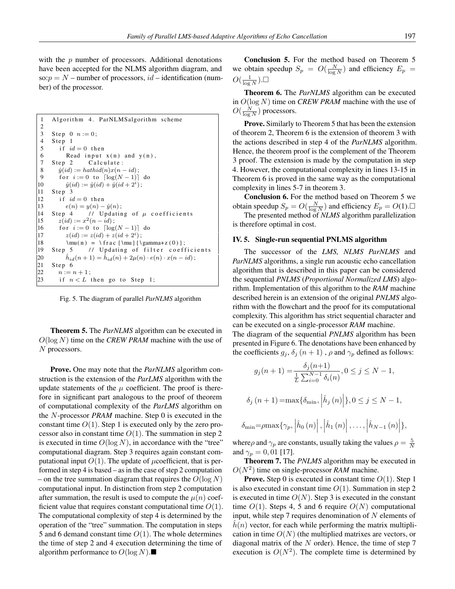with the *p* number of processors. Additional denotations have been accepted for the NLMS algorithm diagram, and so:  $p = N$  – number of processors,  $id$  – identification (number) of the processor.

```
1 Algorithm 4. ParNLMSalgorithm scheme
 \frac{2}{3}3 Step 0 n := 0;<br>4 Step 1
       Step 1
 5 if id = 0 then<br>6 Read input
 6 Read input x(n) and y(n),<br>7 Step 2 Calculate:
       Step 2 Calculate:
 8 \hat{y}(id) := \operatorname{hathidi}(n)x(n - id);<br>9 for i := 0 to \lceil \log(N - 1) \rceilfor i := 0 to \lceil \log(N-1) \rceil do
10 \hat{y}(id) := \hat{y}(id) + \hat{y}(id + 2^i);\begin{vmatrix} 11 & \text{Step } 3 \\ 12 & \text{if } i\end{vmatrix}12 if id = 0 then<br>
13 e(n) = y(n)e(n) = y(n) - \hat{y}(n);
14 Step 4 // Updating of \mu coefficients<br>15 z(id) := x^2(n - id):
15 z(id) := x^2(n - id);16 for i := 0 to \lceil \log(N-1) \rceil do<br>17 z(id) := z(id) + z(id + 2^i):
17 z(id) := z(id) + z(id + 2<sup>i</sup>);
|18 \quad \mu(n) = \frac{\mu}{\gamma+z(0)};<br>19 Step 5 // Updating of filter coeff
19 Step 5 \frac{1}{2} Updating of filter coefficients
\begin{array}{c} \n 20 \\
 21\n \end{array}i_d(n + 1) = \hat{h}_{id}(n) + 2\mu(n) \cdot e(n) \cdot x(n - id);Step 6
\begin{cases} 22 & n := n+1 \\ 23 & \text{if } n < L \end{cases}if n < L then go to Step 1;
```
Fig. 5. The diagram of parallel *ParNLMS* algorithm

Theorem 5. The *ParNLMS* algorithm can be executed in  $O(\log N)$  time on the *CREW PRAM* machine with the use of N processors.

Prove. One may note that the *ParNLMS* algorithm construction is the extension of the *ParLMS* algorithm with the update statements of the  $\mu$  coefficient. The proof is therefore in significant part analogous to the proof of theorem of computational complexity of the *ParLMS* algorithm on the N-processor *PRAM* machine. Step 0 is executed in the constant time  $O(1)$ . Step 1 is executed only by the zero processor also in constant time  $O(1)$ . The summation in step 2 is executed in time  $O(\log N)$ , in accordance with the "tree" computational diagram. Step 3 requires again constant computational input  $O(1)$ . The update of  $\mu$ coefficient, that is performed in step 4 is based – as in the case of step 2 computation – on the tree summation diagram that requires the  $O(\log N)$ computational input. In distinction from step 2 computation after summation, the result is used to compute the  $\mu(n)$  coefficient value that requires constant computational time  $O(1)$ . The computational complexity of step 4 is determined by the operation of the "tree" summation. The computation in steps 5 and 6 demand constant time  $O(1)$ . The whole determines the time of step 2 and 4 execution determining the time of algorithm performance to  $O(\log N)$ .

Conclusion 5. For the method based on Theorem 5 we obtain speedup  $S_p = O(\frac{N}{\log N})$  and efficiency  $E_p =$  $O(\frac{1}{\log N})$ .

Theorem 6. The *ParNLMS* algorithm can be executed in O(log N) time on *CREW PRAM* machine with the use of  $O(\frac{N}{\log N})$  processors.

Prove. Similarly to Theorem 5 that has been the extension of theorem 2, Theorem 6 is the extension of theorem 3 with the actions described in step 4 of the *ParNLMS* algorithm. Hence, the theorem proof is the complement of the Theorem 3 proof. The extension is made by the computation in step 4. However, the computational complexity in lines 13-15 in Theorem 6 is proved in the same way as the computational complexity in lines 5-7 in theorem 3.

Conclusion 6. For the method based on Theorem 5 we obtain speedup  $S_p = O(\frac{N}{\log N})$  and efficiency  $E_p = O(1)$ . The presented method of *NLMS* algorithm parallelization

is therefore optimal in cost.

# IV. 5. Single-run sequential PNLMS algorithm

The successor of the *LMS, NLMS ParNLMS* and *ParNLMS* algorithms, a single run acoustic echo cancellation algorithm that is described in this paper can be considered the sequential *PNLMS* (*Proportional Normalized LMS*) algorithm. Implementation of this algorithm to the *RAM* machine described herein is an extension of the original *PNLMS* algorithm with the flowchart and the proof for its computational complexity. This algorithm has strict sequential character and can be executed on a single-processor *RAM* machine.

The diagram of the sequential *PNLMS* algorithm has been presented in Figure 6. The denotations have been enhanced by the coefficients  $g_j$ ,  $\delta_j$   $(n+1)$ ,  $\rho$  and  $\gamma_p$  defined as follows:

$$
g_j(n+1) = \frac{\delta_j(n+1)}{\frac{1}{L} \sum_{i=0}^{N-1} \delta_i(n)}, 0 \le j \le N-1,
$$
  

$$
\delta_j(n+1) = \max{\delta_{\min}, |\hat{h}_j(n)|}, 0 \le j \le N-1,
$$

$$
\delta_{\min} = \rho \max \{ \gamma_p, \left| \hat{h}_0(n) \right|, \left| \hat{h}_1(n) \right|, \ldots, \left| \hat{h}_{N-1}(n) \right| \},\
$$

where  $\rho$  and  $\gamma_p$  are constants, usually taking the values  $\rho = \frac{5}{N}$ and  $\gamma_p = 0, 01$  [17].

Theorem 7. The *PNLMS* algorithm may be executed in  $O(N^2)$  time on single-processor *RAM* machine.

**Prove.** Step 0 is executed in constant time  $O(1)$ . Step 1 is also executed in constant time  $O(1)$ . Summation in step 2 is executed in time  $O(N)$ . Step 3 is executed in the constant time  $O(1)$ . Steps 4, 5 and 6 require  $O(N)$  computational input, while step 7 requires denomination of  $N$  elements of  $\hat{h}(n)$  vector, for each while performing the matrix multiplication in time  $O(N)$  (the multiplied matrixes are vectors, or diagonal matrix of the  $N$  order). Hence, the time of step  $7$ execution is  $O(N^2)$ . The complete time is determined by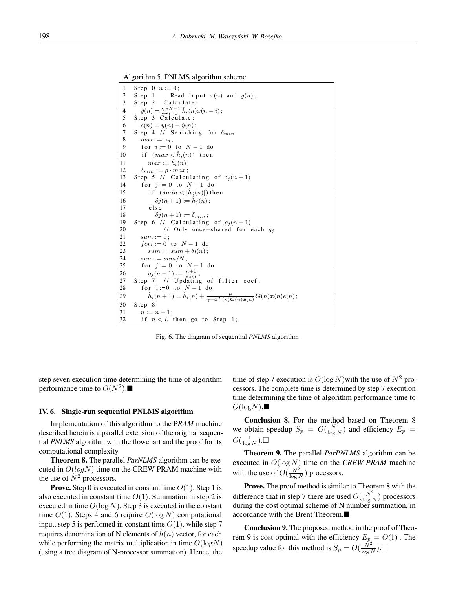Algorithm 5. PNLMS algorithm scheme



Fig. 6. The diagram of sequential *PNLMS* algorithm

step seven execution time determining the time of algorithm performance time to  $O(N^2)$ .

#### IV. 6. Single-run sequential PNLMS algorithm

Implementation of this algorithm to the P*RAM* machine described herein is a parallel extension of the original sequential *PNLMS* algorithm with the flowchart and the proof for its computational complexity.

Theorem 8. The parallel *ParNLMS* algorithm can be executed in  $O(logN)$  time on the CREW PRAM machine with the use of  $N^2$  processors.

**Prove.** Step 0 is executed in constant time  $O(1)$ . Step 1 is also executed in constant time  $O(1)$ . Summation in step 2 is executed in time  $O(\log N)$ . Step 3 is executed in the constant time  $O(1)$ . Steps 4 and 6 require  $O(\log N)$  computational input, step 5 is performed in constant time  $O(1)$ , while step 7 requires denomination of N elements of  $\hat{h}(n)$  vector, for each while performing the matrix multiplication in time  $O(logN)$ (using a tree diagram of N-processor summation). Hence, the

time of step 7 execution is  $O(\log N)$  with the use of  $N^2$  processors. The complete time is determined by step 7 execution time determining the time of algorithm performance time to  $O(logN)$ .

Conclusion 8. For the method based on Theorem 8 we obtain speedup  $S_p = O(\frac{N^2}{\log N})$  and efficiency  $E_p =$  $O(\frac{1}{\log N})$ .

Theorem 9. The parallel *ParPNLMS* algorithm can be executed in O(log N) time on the *CREW PRAM* machine with the use of  $O(\frac{N^2}{\log N})$  processors.

Prove. The proof method is similar to Theorem 8 with the difference that in step 7 there are used  $O(\frac{N^2}{\log N})$  processors during the cost optimal scheme of N number summation, in accordance with the Brent Theorem.

Conclusion 9. The proposed method in the proof of Theorem 9 is cost optimal with the efficiency  $E_p = O(1)$ . The speedup value for this method is  $S_p = O(\frac{N^2}{\log N})$ .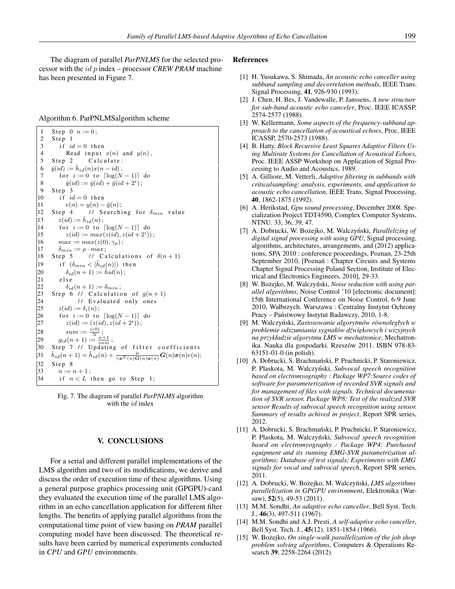The diagram of parallel *ParPNLMS* for the selected processor with the id p index – processor *CREW PRAM* machine has been presented in Figure 7.

| Algorithm 6. ParPNLMSalgorithm scheme |  |  |  |  |  |
|---------------------------------------|--|--|--|--|--|
|---------------------------------------|--|--|--|--|--|

```
1 Step 0 n := 0;<br>2 Step 1
 \begin{array}{cc} 2 & \text{Step } 1 \\ 3 & \text{if } i\end{array}3 if id = 0 then<br>4 Read input
                Read input x(n) and y(n).
 5 Step 2 Calculate:
  6 \hat{y}(id) := \hat{h}_{id}(n)x(n - id);7 for i := 0 to \lceil \log(N - 1) \rceil do
  8 \hat{y}(id) := \hat{y}(id) + \hat{y}(id + 2^i);9 Step 310 if id = 0 then<br>
11 e(n) = u(n) -e(n) = y(n) - \hat{y}(n);
12 Step 4 // Searching for \delta_{min} value<br>
13 z(id) := \hat{h}_{id}(n);
 13 z(id) := \hat{h}_{id}(n);14 for i := 0 to \lceil \log(N-1) \rceil do<br>15 z(id) := \max(z(id) \ z(id+2^i))15 z(id) := max(z(id), z(id + 2<sup>i</sup>));16 max := max(z(0), \gamma_p);\begin{vmatrix} 17 & \delta_{min} := \rho \cdot max \\ 18 & \text{Step 5} \end{vmatrix}18 Step 5 // Calculations of \delta(n+1)<br>19 if (\delta_{min} < |\hat{h}_{id}(n)|) then
 19 if (\delta_{min} < |\hat{h}_{id}(n)|) then
\begin{cases} 20 & \delta_{id}(n+1) := \hat{h}id(n); \\ 21 & \text{else} \end{cases}\begin{vmatrix} 21 & \text{else} \\ 22 & \delta_{ic} \end{vmatrix}22 \delta_{id}(n+1) := \delta_{min};<br>23 Step 6 // Calculation
23 Step 6 // Calculation of g(n+1)<br>24 // Evaluated only ones
24 // Evaluated only ones<br>25 z(id) := \delta_i(n):
25 z(id) := \delta_i(n);<br>26 for i := 0 to
26 for i := 0 to \lceil \log(N-1) \rceil do<br>27 z(id) := (z(id), z(id + 2^i));
 27 z(id) := (z(id), z(id + 2<sup>i</sup>));28 sum := \frac{z(0)}{N};
 29 g_{id}(n+1) := \frac{n+1}{sum};
30 Step 7 // Updating of filter coefficients
|31i_d(n+1) = \hat{h}_{id}(n) + \frac{\mu}{\gamma \mathbf{x}^T(n) \mathbf{G}(n)\mathbf{x}(n)} \mathbf{G}(n)\mathbf{x}(n)e(n);\begin{array}{cc} 32 & \text{Step } 8 \\ 33 & n := \end{array}\begin{cases} 33 & n := n+1 \\ 34 & \text{if } n < L \end{cases}if n < L then go to Step 1;
```
Fig. 7. The diagram of parallel *ParPNLMS* algorithm with the  $id$  index

# V. CONCLUSIONS

For a serial and different parallel implementations of the LMS algorithm and two of its modifications, we derive and discuss the order of execution time of these algorithms. Using a general purpose graphics processing unit (GPGPU)-card they evaluated the execution time of the parallel LMS algorithm in an echo cancellation application for different filter lengths. The benefits of applying parallel algorithms from the computational time point of view basing on *PRAM* parallel computing model have been discussed. The theoretical results have been carried by numerical experiments conducted in *CPU* and *GPU* environments.

#### References

- [1] H. Yusukawa, S. Shimada, *An acoustic echo canceller using subband sampling and decorrelation methods*, IEEE Trans. Signal Processing, 41, 926-930 (1993).
- [2] J. Chen, H. Bes, J. Vandewalle, P. Janssens, *A new structure for sub-band acoustic echo canceler*, Proc. IEEE ICASSP, 2574-2577 (1988).
- [3] W. Kellermann, *Some aspects of the frequency-subband approach to the cancellation of acoustical echoes*, Proc. IEEE ICASSP, 2570-2573 (1988).
- [4] B. Hatty, *Block Recursive Least Squares Adaptive Filters Using Multirate Systems for Cancellation of Acoustical Echoes*, Proc. IEEE ASSP Workshop on Application of Signal Processing to Audio and Acoustics, 1989.
- [5] A. Gilliore, M. Vetterli, *Adaptive filtering in subbands with criticalsampling: analysis, experiments, and application to acoustic echo cancellation*, IEEE Trans. Signal Processing, 40, 1862-1875 (1992).
- [6] A. Herikstad, *Gpu sound processing*, December 2008. Specialization Project TDT4590, Complex Computer Systems, NTNU. 33, 36, 39, 47.
- [7] A. Dobrucki, W. Bożejko, M. Walczyński, Parallelizing of *digital signal processing with using GPU*, Signal processing, algorithms, architectures, arrangements, and (2012) applications, SPA 2010 : conference proceedings, Poznan, 23-25th September 2010. [Poznań : Chapter Circuits and Systems Chapter Signal Processing Poland Section, Institute of Electrical and Electronics Engineers, 2010], 29-33.
- [8] W. Bożejko, M. Walczyński, Noise reduction with using par*allel algorithms*, Noise Control '10 [electronic document]: 15th International Conference on Noise Control, 6-9 June 2010, Wałbrzych. Warszawa : Centralny Instytut Ochrony Pracy – Państwowy Instytut Badawczy, 2010, 1-8.
- [9] M. Walczyński, Zastosowanie algorytmów równoległych w *problemie odszumiania sygnałów d´zwi˛ekowych i wizyjnych na przykładzie algorytmu LMS w mechatronice*, Mechatronika. Nauka dla gospodarki. Rzeszów 2011. ISBN 978-83- 63151-01-0 (in polish).
- [10] A. Dobrucki, S. Brachmański, P. Pruchnicki, P. Staroniewicz, P. Plaskota, M. Walczyński, Subvocal speech recognition *based on electromyography : Package WP7:Source codes of software for parameterization of recorded SVR signals and for management of files with signals. Technical documentation of SVR sensor. Package WP8: Test of the realized SVR sensor Results of subvocal speech recognition using sensor. Summary of results achived in project*, Report SPR series, 2012.
- [11] A. Dobrucki, S. Brachmański, P. Pruchnicki, P. Staroniewicz, P. Plaskota, M. Walczyński, Subvocal speech recognition *based on electromyography : Package WP4: Purchased equipment and its running EMG-SVR parametrization algorithms; Database of test signals; Experiments with EMG signals for vocal and subvocal speech*, Report SPR series, 2011.
- [12] A. Dobrucki, W. Bożejko, M. Walczyński, *LMS algorithms parallelization in GPGPU environment*, Elektronika (Warsaw), 52(5), 49-53 (2011).
- [13] M.M. Sondhi, *An adaptive echo canceller*, Bell Syst. Tech. J., 46(3), 497-511 (1967).
- [14] M.M. Sondhi and A.J. Presti, *A self-adaptive echo canceller*, Bell Syst. Tech. J., 45(12), 1851-1854 (1966).
- [15] W. Bożejko, *On single-walk parallelization of the job shop problem solving algorithms*, Computers & Operations Research 39, 2258-2264 (2012).